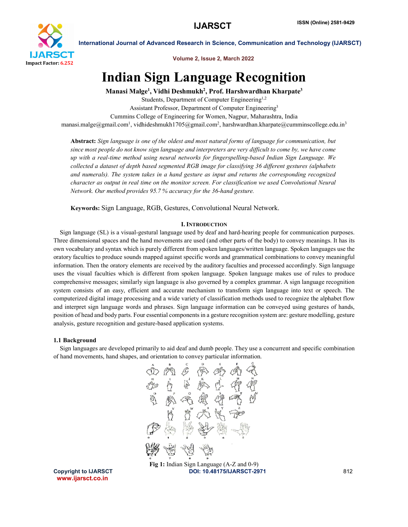

Volume 2, Issue 2, March 2022

## Indian Sign Language Recognition

Manasi Malge<sup>1</sup>, Vidhi Deshmukh<sup>2</sup>, Prof. Harshwardhan Kharpate<sup>3</sup>

Students, Department of Computer Engineering<sup>1,2</sup> Assistant Professor, Department of Computer Engineering3 Cummins College of Engineering for Women, Nagpur, Maharashtra, India manasi.malge@gmail.com<sup>1</sup>, vidhideshmukh1705@gmail.com<sup>2</sup>, harshwardhan.kharpate@cumminscollege.edu.in<sup>3</sup>

Abstract: *Sign language is one of the oldest and most natural forms of language for communication, but since most people do not know sign language and interpreters are very difficult to come by, we have come up with a real-time method using neural networks for fingerspelling-based Indian Sign Language. We collected a dataset of depth based segmented RGB image for classifying 36 different gestures (alphabets and numerals). The system takes in a hand gesture as input and returns the corresponding recognized character as output in real time on the monitor screen. For classification we used Convolutional Neural Network. Our method provides 95.7 % accuracy for the 36-hand gesture.*

Keywords: Sign Language, RGB, Gestures, Convolutional Neural Network.

### I. INTRODUCTION

 Sign language (SL) is a visual-gestural language used by deaf and hard-hearing people for communication purposes. Three dimensional spaces and the hand movements are used (and other parts of the body) to convey meanings. It has its own vocabulary and syntax which is purely different from spoken languages/written language. Spoken languages use the oratory faculties to produce sounds mapped against specific words and grammatical combinations to convey meaningful information. Then the oratory elements are received by the auditory faculties and processed accordingly. Sign language uses the visual faculties which is different from spoken language. Spoken language makes use of rules to produce comprehensive messages; similarly sign language is also governed by a complex grammar. A sign language recognition system consists of an easy, efficient and accurate mechanism to transform sign language into text or speech. The computerized digital image processing and a wide variety of classification methods used to recognize the alphabet flow and interpret sign language words and phrases. Sign language information can be conveyed using gestures of hands, position of head and body parts. Four essential components in a gesture recognition system are: gesture modelling, gesture analysis, gesture recognition and gesture-based application systems.

### 1.1 Background

 Sign languages are developed primarily to aid deaf and dumb people. They use a concurrent and specific combination of hand movements, hand shapes, and orientation to convey particular information.



www.ijarsct.co.in

Copyright to IJARSCT **DOI: 10.48175/IJARSCT-2971** 812 Fig 1: Indian Sign Language (A-Z and 0-9)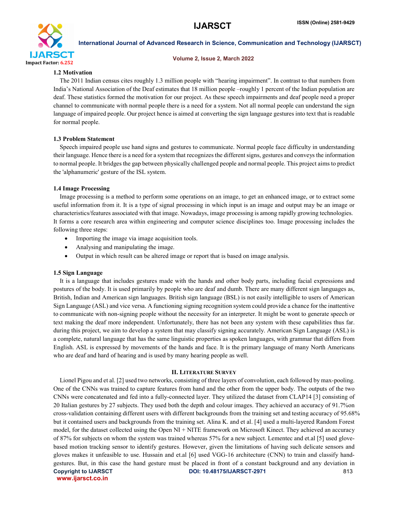

### Volume 2, Issue 2, March 2022

### 1.2 Motivation

 The 2011 Indian census cites roughly 1.3 million people with "hearing impairment". In contrast to that numbers from India's National Association of the Deaf estimates that 18 million people –roughly 1 percent of the Indian population are deaf. These statistics formed the motivation for our project. As these speech impairments and deaf people need a proper channel to communicate with normal people there is a need for a system. Not all normal people can understand the sign language of impaired people. Our project hence is aimed at converting the sign language gestures into text that is readable for normal people.

### 1.3 Problem Statement

 Speech impaired people use hand signs and gestures to communicate. Normal people face difficulty in understanding their language. Hence there is a need for a system that recognizes the different signs, gestures and conveys the information to normal people. It bridges the gap between physically challenged people and normal people. This project aims to predict the 'alphanumeric' gesture of the ISL system.

### 1.4 Image Processing

 Image processing is a method to perform some operations on an image, to get an enhanced image, or to extract some useful information from it. It is a type of signal processing in which input is an image and output may be an image or characteristics/features associated with that image. Nowadays, image processing is among rapidly growing technologies. It forms a core research area within engineering and computer science disciplines too. Image processing includes the following three steps:

- Importing the image via image acquisition tools.
- Analysing and manipulating the image.
- Output in which result can be altered image or report that is based on image analysis.

### 1.5 Sign Language

 It is a language that includes gestures made with the hands and other body parts, including facial expressions and postures of the body. It is used primarily by people who are deaf and dumb. There are many different sign languages as, British, Indian and American sign languages. British sign language (BSL) is not easily intelligible to users of American Sign Language (ASL) and vice versa. A functioning signing recognition system could provide a chance for the inattentive to communicate with non-signing people without the necessity for an interpreter. It might be wont to generate speech or text making the deaf more independent. Unfortunately, there has not been any system with these capabilities thus far. during this project, we aim to develop a system that may classify signing accurately. American Sign Language (ASL) is a complete, natural language that has the same linguistic properties as spoken languages, with grammar that differs from English. ASL is expressed by movements of the hands and face. It is the primary language of many North Americans who are deaf and hard of hearing and is used by many hearing people as well.

### II. LITERATURE SURVEY

Copyright to IJARSCT **DOI: 10.48175/IJARSCT-2971** 813 www.ijarsct.co.in Lionel Pigou and et al. [2] used two networks, consisting of three layers of convolution, each followed by max-pooling. One of the CNNs was trained to capture features from hand and the other from the upper body. The outputs of the two CNNs were concatenated and fed into a fully-connected layer. They utilized the dataset from CLAP14 [3] consisting of 20 Italian gestures by 27 subjects. They used both the depth and colour images. They achieved an accuracy of 91.7%on cross-validation containing different users with different backgrounds from the training set and testing accuracy of 95.68% but it contained users and backgrounds from the training set. Alina K. and et al. [4] used a multi-layered Random Forest model, for the dataset collected using the Open NI + NITE framework on Microsoft Kinect. They achieved an accuracy of 87% for subjects on whom the system was trained whereas 57% for a new subject. Lementec and et.al [5] used glovebased motion tracking sensor to identify gestures. However, given the limitations of having such delicate sensors and gloves makes it unfeasible to use. Hussain and et.al [6] used VGG-16 architecture (CNN) to train and classify handgestures. But, in this case the hand gesture must be placed in front of a constant background and any deviation in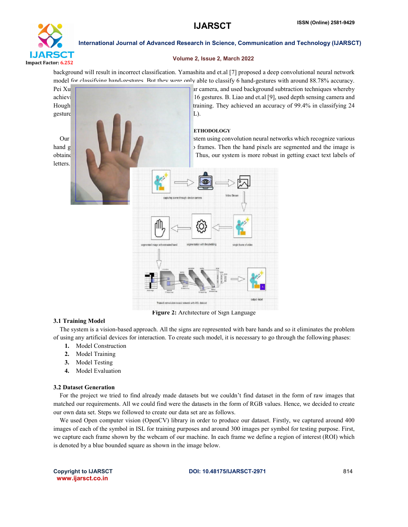

### Volume 2, Issue 2, March 2022

background will result in incorrect classification. Yamashita and et.al [7] proposed a deep convolutional neural network model for classifying hand-gestures. But they were only able to classify 6 hand-gestures with around 88.78% accuracy.

Pei Xu achieving a context 99% while classification of over 99% while classifying 16 gestures. B. Liao and et.al [9], used depth sensing camera and Hough training. They achieved an accuracy of 99.4% in classifying 24  $g$ estures from the American Sign Language system (ASL). **ETHODOLOGY** Our proposed stem is a sing convolution neural networks which recognize various various system using convolution neural networks which recognize various hand gestures by capturing video and converting it is interested and converting into frames. Then the hand pixels are segmented and the image is obtained and sent for comparison to the trained model. Thus, our system is more robust in getting exact text labels of **letters** 

Figure 2: Architecture of Sign Language

### 3.1 Training Model

 The system is a vision-based approach. All the signs are represented with bare hands and so it eliminates the problem of using any artificial devices for interaction. To create such model, it is necessary to go through the following phases:

- 1. Model Construction
- 2. Model Training
- 3. Model Testing
- 4. Model Evaluation

### 3.2 Dataset Generation

 For the project we tried to find already made datasets but we couldn't find dataset in the form of raw images that matched our requirements. All we could find were the datasets in the form of RGB values. Hence, we decided to create our own data set. Steps we followed to create our data set are as follows.

 We used Open computer vision (OpenCV) library in order to produce our dataset. Firstly, we captured around 400 images of each of the symbol in ISL for training purposes and around 300 images per symbol for testing purpose. First, we capture each frame shown by the webcam of our machine. In each frame we define a region of interest (ROI) which is denoted by a blue bounded square as shown in the image below.

www.ijarsct.co.in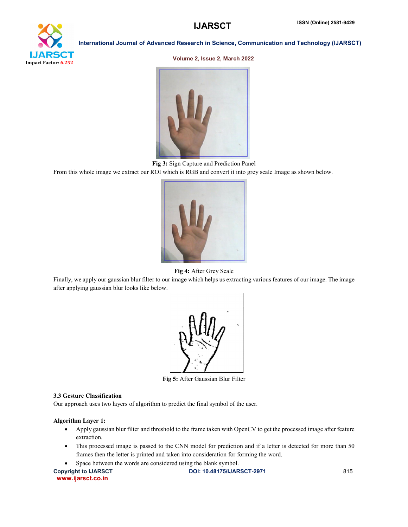# ĎТ Impact Factor: 6.252

### International Journal of Advanced Research in Science, Communication and Technology (IJARSCT)

### Volume 2, Issue 2, March 2022



Fig 3: Sign Capture and Prediction Panel

From this whole image we extract our ROI which is RGB and convert it into grey scale Image as shown below.



Fig 4: After Grey Scale

Finally, we apply our gaussian blur filter to our image which helps us extracting various features of our image. The image after applying gaussian blur looks like below.



Fig 5: After Gaussian Blur Filter

### 3.3 Gesture Classification

Our approach uses two layers of algorithm to predict the final symbol of the user.

### Algorithm Layer 1:

- Apply gaussian blur filter and threshold to the frame taken with OpenCV to get the processed image after feature extraction.
- This processed image is passed to the CNN model for prediction and if a letter is detected for more than 50 frames then the letter is printed and taken into consideration for forming the word.
	- Space between the words are considered using the blank symbol.

Copyright to IJARSCT **DOI: 10.48175/IJARSCT-2971** 815 www.ijarsct.co.in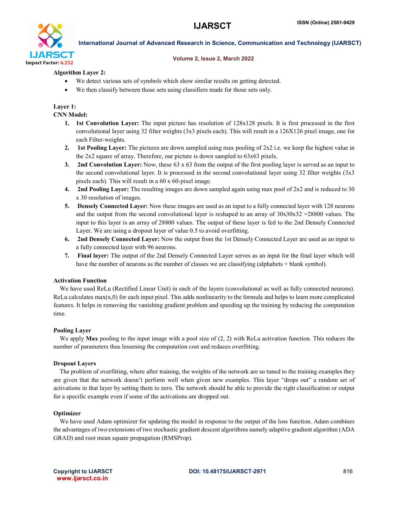

### Volume 2, Issue 2, March 2022

### Algorithm Layer 2:

- We detect various sets of symbols which show similar results on getting detected.
- We then classify between those sets using classifiers made for those sets only.

### Layer 1:

### CNN Model:

- 1. 1st Convolution Layer: The input picture has resolution of 128x128 pixels. It is first processed in the first convolutional layer using 32 filter weights (3x3 pixels each). This will result in a 126X126 pixel image, one for each Filter-weights.
- 2. 1st Pooling Layer: The pictures are down sampled using max pooling of  $2x2$  i.e. we keep the highest value in the 2x2 square of array. Therefore, our picture is down sampled to 63x63 pixels.
- 3. 2nd Convolution Layer: Now, these  $63 \times 63$  from the output of the first pooling layer is served as an input to the second convolutional layer. It is processed in the second convolutional layer using 32 filter weights (3x3 pixels each). This will result in a 60 x 60-pixel image.
- 4. 2nd Pooling Layer: The resulting images are down sampled again using max pool of 2x2 and is reduced to 30 x 30 resolution of images.
- 5. Densely Connected Layer: Now these images are used as an input to a fully connected layer with 128 neurons and the output from the second convolutional layer is reshaped to an array of  $30x30x32 = 28800$  values. The input to this layer is an array of 28800 values. The output of these layer is fed to the 2nd Densely Connected Layer. We are using a dropout layer of value 0.5 to avoid overfitting.
- 6. 2nd Densely Connected Layer: Now the output from the 1st Densely Connected Layer are used as an input to a fully connected layer with 96 neurons.
- 7. Final layer: The output of the 2nd Densely Connected Layer serves as an input for the final layer which will have the number of neurons as the number of classes we are classifying (alphabets + blank symbol).

### Activation Function

 We have used ReLu (Rectified Linear Unit) in each of the layers (convolutional as well as fully connected neurons). ReLu calculates  $max(x,0)$  for each input pixel. This adds nonlinearity to the formula and helps to learn more complicated features. It helps in removing the vanishing gradient problem and speeding up the training by reducing the computation time.

### Pooling Layer

We apply **Max** pooling to the input image with a pool size of  $(2, 2)$  with ReLu activation function. This reduces the number of parameters thus lessening the computation cost and reduces overfitting.

### Dropout Layers

 The problem of overfitting, where after training, the weights of the network are so tuned to the training examples they are given that the network doesn't perform well when given new examples. This layer "drops out" a random set of activations in that layer by setting them to zero. The network should be able to provide the right classification or output for a specific example even if some of the activations are dropped out.

### **Optimizer**

 We have used Adam optimizer for updating the model in response to the output of the loss function. Adam combines the advantages of two extensions of two stochastic gradient descent algorithms namely adaptive gradient algorithm (ADA GRAD) and root mean square propagation (RMSProp).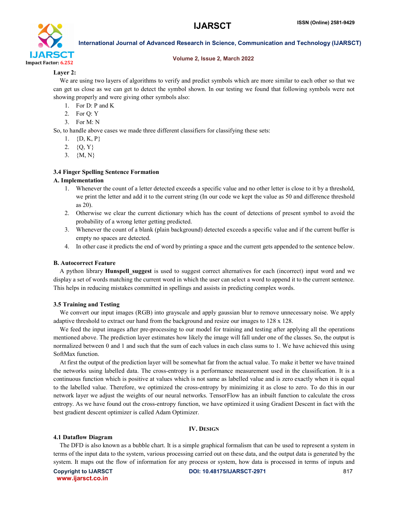

### Volume 2, Issue 2, March 2022

### Layer 2:

 We are using two layers of algorithms to verify and predict symbols which are more similar to each other so that we can get us close as we can get to detect the symbol shown. In our testing we found that following symbols were not showing properly and were giving other symbols also:

- 1. For D: P and K
- 2. For Q: Y
- 3. For M: N

So, to handle above cases we made three different classifiers for classifying these sets:

- 1.  $\{D, K, P\}$
- 2.  $\{Q, Y\}$
- 3. {M, N}

### 3.4 Finger Spelling Sentence Formation

### A. Implementation

- 1. Whenever the count of a letter detected exceeds a specific value and no other letter is close to it by a threshold, we print the letter and add it to the current string (In our code we kept the value as 50 and difference threshold as 20).
- 2. Otherwise we clear the current dictionary which has the count of detections of present symbol to avoid the probability of a wrong letter getting predicted.
- 3. Whenever the count of a blank (plain background) detected exceeds a specific value and if the current buffer is empty no spaces are detected.
- 4. In other case it predicts the end of word by printing a space and the current gets appended to the sentence below.

### B. Autocorrect Feature

A python library **Hunspell suggest** is used to suggest correct alternatives for each (incorrect) input word and we display a set of words matching the current word in which the user can select a word to append it to the current sentence. This helps in reducing mistakes committed in spellings and assists in predicting complex words.

### 3.5 Training and Testing

 We convert our input images (RGB) into grayscale and apply gaussian blur to remove unnecessary noise. We apply adaptive threshold to extract our hand from the background and resize our images to 128 x 128.

 We feed the input images after pre-processing to our model for training and testing after applying all the operations mentioned above. The prediction layer estimates how likely the image will fall under one of the classes. So, the output is normalized between 0 and 1 and such that the sum of each values in each class sums to 1. We have achieved this using SoftMax function.

 At first the output of the prediction layer will be somewhat far from the actual value. To make it better we have trained the networks using labelled data. The cross-entropy is a performance measurement used in the classification. It is a continuous function which is positive at values which is not same as labelled value and is zero exactly when it is equal to the labelled value. Therefore, we optimized the cross-entropy by minimizing it as close to zero. To do this in our network layer we adjust the weights of our neural networks. TensorFlow has an inbuilt function to calculate the cross entropy. As we have found out the cross-entropy function, we have optimized it using Gradient Descent in fact with the best gradient descent optimizer is called Adam Optimizer.

### IV. DESIGN

### 4.1 Dataflow Diagram

 The DFD is also known as a bubble chart. It is a simple graphical formalism that can be used to represent a system in terms of the input data to the system, various processing carried out on these data, and the output data is generated by the system. It maps out the flow of information for any process or system, how data is processed in terms of inputs and

www.ijarsct.co.in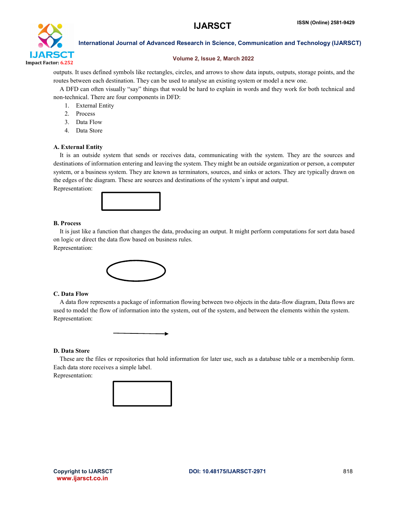

### Volume 2, Issue 2, March 2022

outputs. It uses defined symbols like rectangles, circles, and arrows to show data inputs, outputs, storage points, and the routes between each destination. They can be used to analyse an existing system or model a new one.

 A DFD can often visually "say" things that would be hard to explain in words and they work for both technical and non-technical. There are four components in DFD:

- 1. External Entity
- 2. Process
- 3. Data Flow
- 4. Data Store

### A. External Entity

 It is an outside system that sends or receives data, communicating with the system. They are the sources and destinations of information entering and leaving the system. They might be an outside organization or person, a computer system, or a business system. They are known as terminators, sources, and sinks or actors. They are typically drawn on the edges of the diagram. These are sources and destinations of the system's input and output.

Representation:



### B. Process

 It is just like a function that changes the data, producing an output. It might perform computations for sort data based on logic or direct the data flow based on business rules.

Representation:



### C. Data Flow

 A data flow represents a package of information flowing between two objects in the data-flow diagram, Data flows are used to model the flow of information into the system, out of the system, and between the elements within the system. Representation:

### D. Data Store

 These are the files or repositories that hold information for later use, such as a database table or a membership form. Each data store receives a simple label.

Representation:



www.ijarsct.co.in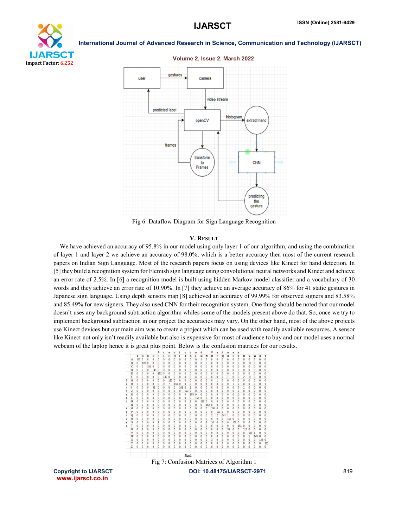



Fig 6: Dataflow Diagram for Sign Language Recognition

### V. RESULT

 We have achieved an accuracy of 95.8% in our model using only layer 1 of our algorithm, and using the combination of layer 1 and layer 2 we achieve an accuracy of 98.0%, which is a better accuracy then most of the current research papers on Indian Sign Language. Most of the research papers focus on using devices like Kinect for hand detection. In [5] they build a recognition system for Flemish sign language using convolutional neural networks and Kinect and achieve an error rate of 2.5%. In [6] a recognition model is built using hidden Markov model classifier and a vocabulary of 30 words and they achieve an error rate of 10.90%. In [7] they achieve an average accuracy of 86% for 41 static gestures in Japanese sign language. Using depth sensors map [8] achieved an accuracy of 99.99% for observed signers and 83.58% and 85.49% for new signers. They also used CNN for their recognition system. One thing should be noted that our model doesn't uses any background subtraction algorithm whiles some of the models present above do that. So, once we try to implement background subtraction in our project the accuracies may vary. On the other hand, most of the above projects use Kinect devices but our main aim was to create a project which can be used with readily available resources. A sensor like Kinect not only isn't readily available but also is expensive for most of audience to buy and our model uses a normal webcam of the laptop hence it is great plus point. Below is the confusion matrices for our results.



www.ijarsct.co.in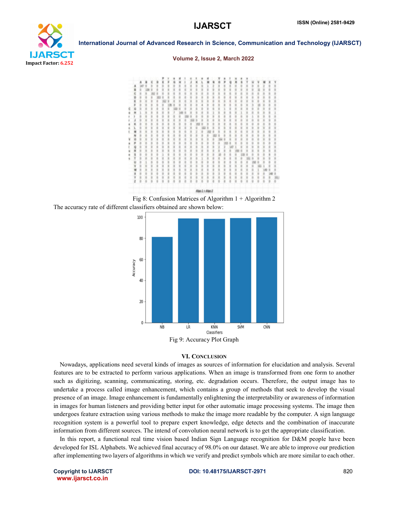

### Volume 2, Issue 2, March 2022







### VI. CONCLUSION

 Nowadays, applications need several kinds of images as sources of information for elucidation and analysis. Several features are to be extracted to perform various applications. When an image is transformed from one form to another such as digitizing, scanning, communicating, storing, etc. degradation occurs. Therefore, the output image has to undertake a process called image enhancement, which contains a group of methods that seek to develop the visual presence of an image. Image enhancement is fundamentally enlightening the interpretability or awareness of information in images for human listeners and providing better input for other automatic image processing systems. The image then undergoes feature extraction using various methods to make the image more readable by the computer. A sign language recognition system is a powerful tool to prepare expert knowledge, edge detects and the combination of inaccurate information from different sources. The intend of convolution neural network is to get the appropriate classification.

 In this report, a functional real time vision based Indian Sign Language recognition for D&M people have been developed for ISL Alphabets. We achieved final accuracy of 98.0% on our dataset. We are able to improve our prediction after implementing two layers of algorithms in which we verify and predict symbols which are more similar to each other.

www.ijarsct.co.in